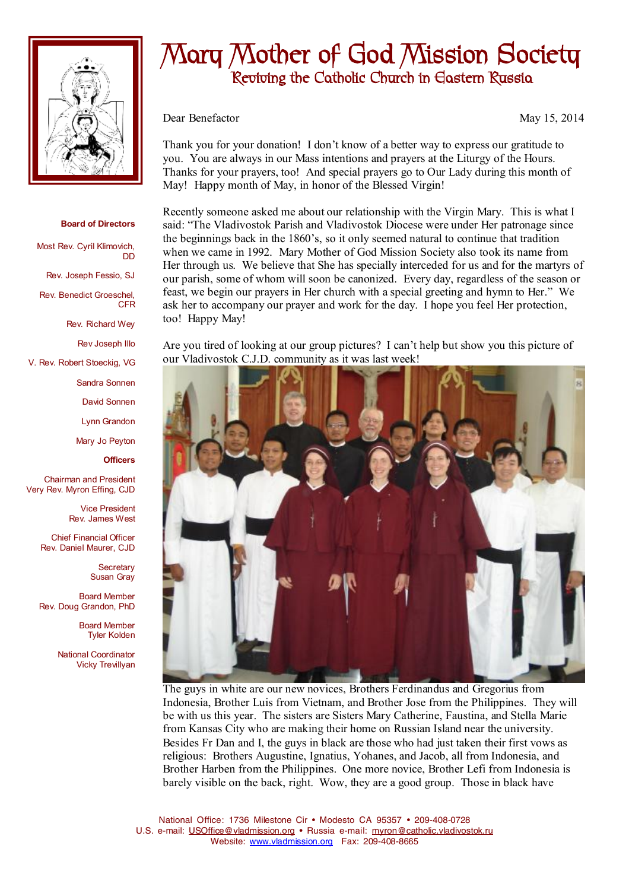

## **Board of Directors**

DD

Most Rev. Cyril Klimovich,

Rev. Joseph Fessio, SJ

Rev. Benedict Groeschel, CFR

Rev. Richard Wey

Rev Joseph Illo

V. Rev. Robert Stoeckig, VG

Sandra Sonnen

David Sonnen

Lynn Grandon

Mary Jo Peyton

**Officers**

Chairman and President Very Rev. Myron Effing, CJD

> Vice President Rev. James West

Chief Financial Officer Rev. Daniel Maurer, CJD

> **Secretary** Susan Gray

Board Member Rev. Doug Grandon, PhD

> Board Member Tyler Kolden

National Coordinator Vicky Trevillyan

## **Mary Mother of God Mission Society Reviving the Catholic Church in Eastern Russia**

Dear Benefactor May 15, 2014

Thank you for your donation! I don't know of a better way to express our gratitude to you. You are always in our Mass intentions and prayers at the Liturgy of the Hours. Thanks for your prayers, too! And special prayers go to Our Lady during this month of May! Happy month of May, in honor of the Blessed Virgin!

Recently someone asked me about our relationship with the Virgin Mary. This is what I said: "The Vladivostok Parish and Vladivostok Diocese were under Her patronage since the beginnings back in the 1860's, so it only seemed natural to continue that tradition when we came in 1992. Mary Mother of God Mission Society also took its name from Her through us. We believe that She has specially interceded for us and for the martyrs of our parish, some of whom will soon be canonized. Every day, regardless of the season or feast, we begin our prayers in Her church with a special greeting and hymn to Her." We ask her to accompany our prayer and work for the day. I hope you feel Her protection, too! Happy May!

Are you tired of looking at our group pictures? I can't help but show you this picture of our Vladivostok C.J.D. community as it was last week!



The guys in white are our new novices, Brothers Ferdinandus and Gregorius from Indonesia, Brother Luis from Vietnam, and Brother Jose from the Philippines. They will be with us this year. The sisters are Sisters Mary Catherine, Faustina, and Stella Marie from Kansas City who are making their home on Russian Island near the university. Besides Fr Dan and I, the guys in black are those who had just taken their first vows as religious: Brothers Augustine, Ignatius, Yohanes, and Jacob, all from Indonesia, and Brother Harben from the Philippines. One more novice, Brother Lefi from Indonesia is barely visible on the back, right. Wow, they are a good group. Those in black have